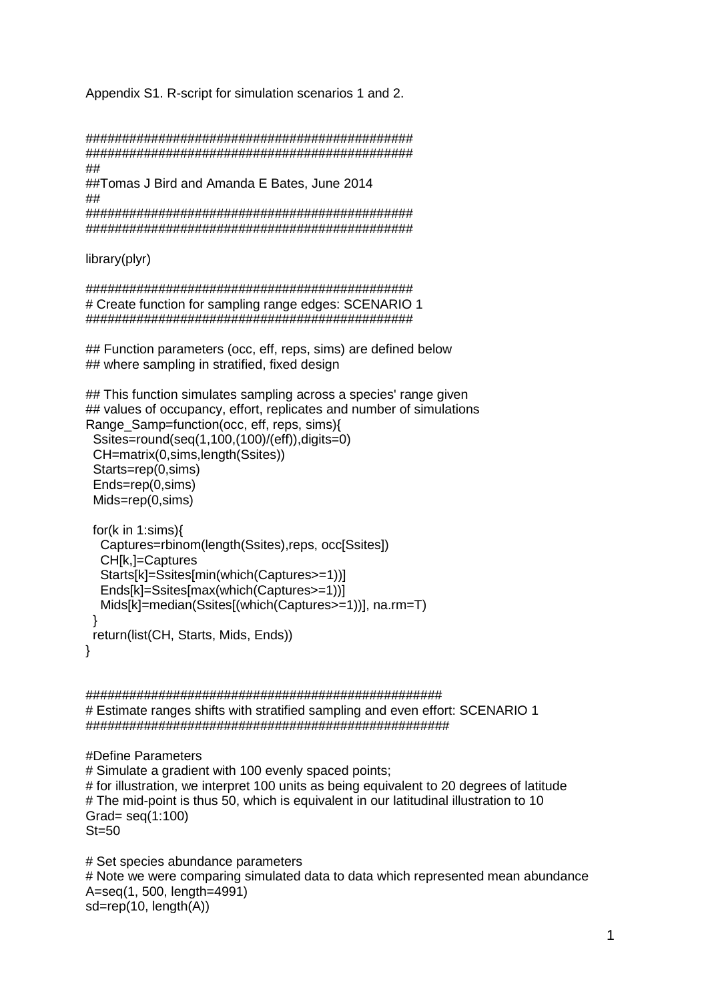Appendix S1. R-script for simulation scenarios 1 and 2.

############################################# ############################################# ## ##Tomas J Bird and Amanda E Bates, June 2014 ## ############################################# #############################################

library(plyr)

############################################# # Create function for sampling range edges: SCENARIO 1 #############################################

## Function parameters (occ, eff, reps, sims) are defined below ## where sampling in stratified, fixed design

## This function simulates sampling across a species' range given ## values of occupancy, effort, replicates and number of simulations Range Samp=function(occ, eff, reps, sims){

 Ssites=round(seq(1,100,(100)/(eff)),digits=0) CH=matrix(0,sims,length(Ssites)) Starts=rep(0,sims) Ends=rep(0,sims) Mids=rep(0,sims)

```
 for(k in 1:sims){
   Captures=rbinom(length(Ssites),reps, occ[Ssites])
   CH[k,]=Captures
   Starts[k]=Ssites[min(which(Captures>=1))]
   Ends[k]=Ssites[max(which(Captures>=1))]
   Mids[k]=median(Ssites[(which(Captures>=1))], na.rm=T)
 }
  return(list(CH, Starts, Mids, Ends))
}
```
################################################# # Estimate ranges shifts with stratified sampling and even effort: SCENARIO 1 ##################################################

#Define Parameters # Simulate a gradient with 100 evenly spaced points; # for illustration, we interpret 100 units as being equivalent to 20 degrees of latitude # The mid-point is thus 50, which is equivalent in our latitudinal illustration to 10 Grad= seq(1:100)  $St = 50$ 

# Set species abundance parameters # Note we were comparing simulated data to data which represented mean abundance A=seq(1, 500, length=4991) sd=rep(10, length(A))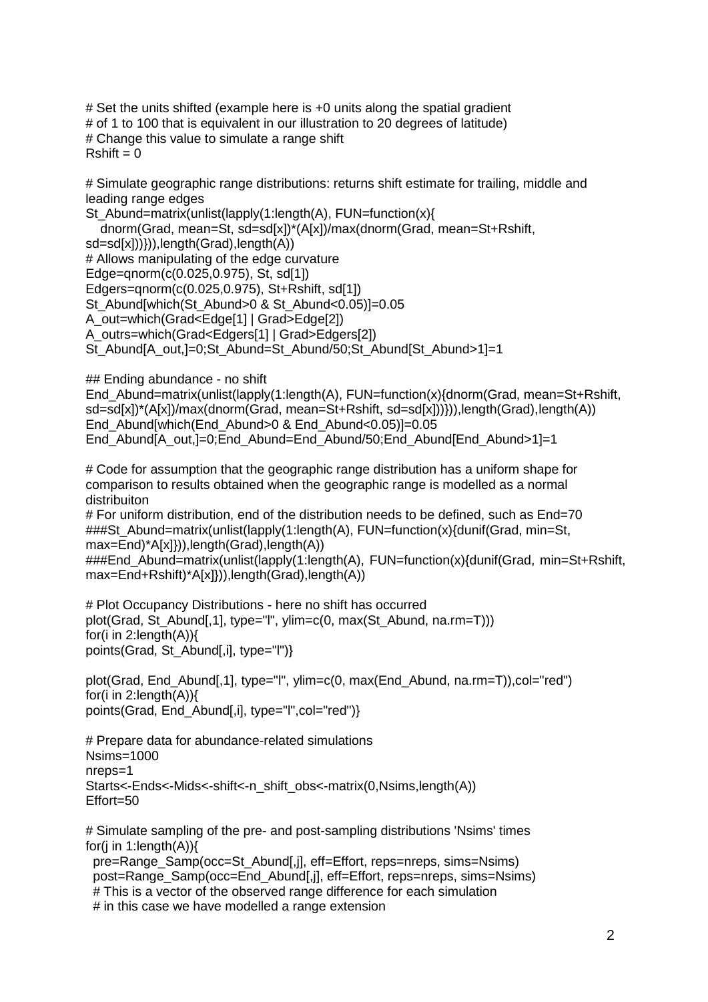# Set the units shifted (example here is +0 units along the spatial gradient # of 1 to 100 that is equivalent in our illustration to 20 degrees of latitude) # Change this value to simulate a range shift  $Rshift = 0$ 

# Simulate geographic range distributions: returns shift estimate for trailing, middle and leading range edges

St\_Abund=matrix(unlist(lapply(1:length(A), FUN=function(x){ dnorm(Grad, mean=St, sd=sd[x])\*(A[x])/max(dnorm(Grad, mean=St+Rshift, sd=sd[x])))),length(Grad),length(A)) # Allows manipulating of the edge curvature Edge=qnorm(c(0.025,0.975), St, sd[1]) Edgers=qnorm(c(0.025,0.975), St+Rshift, sd[1]) St\_Abund[which(St\_Abund>0 & St\_Abund<0.05)]=0.05 A\_out=which(Grad<Edge[1] | Grad>Edge[2]) A\_outrs=which(Grad<Edgers[1] | Grad>Edgers[2])

St\_Abund[A\_out,]=0;St\_Abund=St\_Abund/50;St\_Abund[St\_Abund>1]=1

## Ending abundance - no shift

End\_Abund=matrix(unlist(lapply(1:length(A), FUN=function(x){dnorm(Grad, mean=St+Rshift, sd=sd[x])\*(A[x])/max(dnorm(Grad, mean=St+Rshift, sd=sd[x]))})),length(Grad),length(A)) End\_Abund[which(End\_Abund>0 & End\_Abund<0.05)]=0.05 End Abund[A out,]=0;End Abund=End Abund/50;End Abund[End Abund>1]=1

# Code for assumption that the geographic range distribution has a uniform shape for comparison to results obtained when the geographic range is modelled as a normal distribuiton

# For uniform distribution, end of the distribution needs to be defined, such as End=70 ###St\_Abund=matrix(unlist(lapply(1:length(A), FUN=function(x){dunif(Grad, min=St, max=End)\*A[x]})),length(Grad),length(A))

###End\_Abund=matrix(unlist(lapply(1:length(A), FUN=function(x){dunif(Grad, min=St+Rshift, max=End+Rshift)\*A[x]})),length(Grad),length(A))

# Plot Occupancy Distributions - here no shift has occurred plot(Grad, St\_Abund[,1], type="l", ylim=c(0, max(St\_Abund, na.rm=T))) for(i in 2:length(A)){ points(Grad, St\_Abund[,i], type="l")}

plot(Grad, End\_Abund[,1], type="l", ylim=c(0, max(End\_Abund, na.rm=T)),col="red") for(i in 2:length(A)){ points(Grad, End Abund[,i], type="l",col="red")}

# Prepare data for abundance-related simulations Nsims=1000 nreps=1 Starts<-Ends<-Mids<-shift<-n\_shift\_obs<-matrix(0,Nsims,length(A)) Effort=50

# Simulate sampling of the pre- and post-sampling distributions 'Nsims' times for(i in 1: $l$ ength $(A)$ ){ pre=Range\_Samp(occ=St\_Abund[,j], eff=Effort, reps=nreps, sims=Nsims)

 post=Range\_Samp(occ=End\_Abund[,j], eff=Effort, reps=nreps, sims=Nsims) # This is a vector of the observed range difference for each simulation # in this case we have modelled a range extension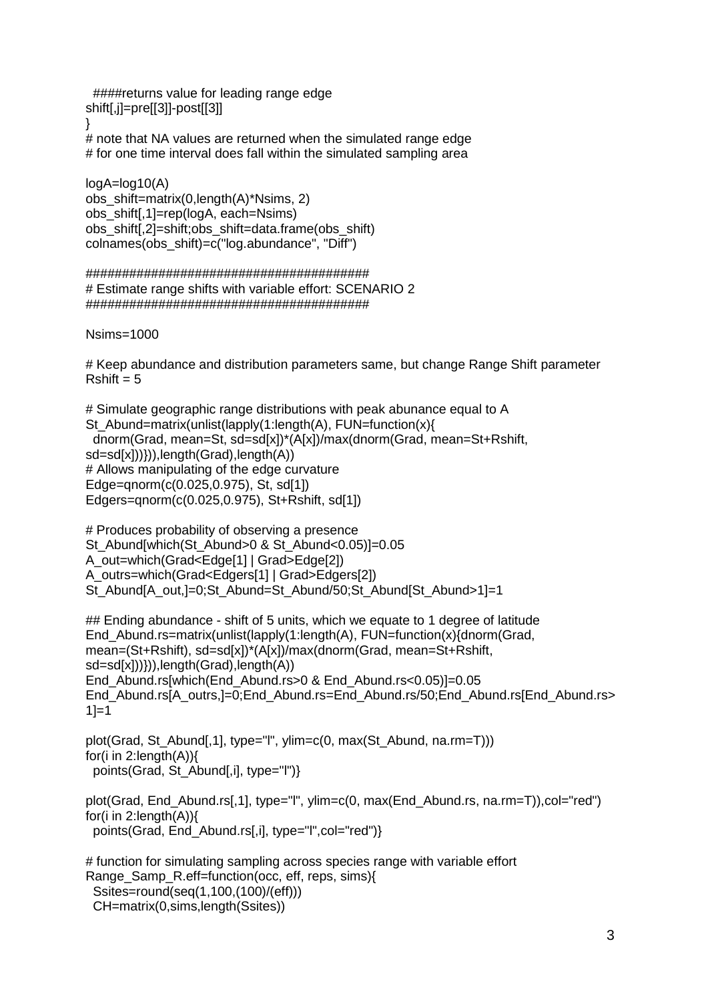####returns value for leading range edge shift[,j]=pre[[3]]-post[[3]]

}

# note that NA values are returned when the simulated range edge # for one time interval does fall within the simulated sampling area

 $loaA=loa10(A)$ obs\_shift=matrix(0,length(A)\*Nsims, 2) obs\_shift[,1]=rep(logA, each=Nsims) obs shift[,2]=shift;obs shift=data.frame(obs shift) colnames(obs\_shift)=c("log.abundance", "Diff")

## ####################################### # Estimate range shifts with variable effort: SCENARIO 2 #######################################

Nsims=1000

# Keep abundance and distribution parameters same, but change Range Shift parameter  $Rshift = 5$ 

# Simulate geographic range distributions with peak abunance equal to A St\_Abund=matrix(unlist(lapply(1:length(A), FUN=function(x){ dnorm(Grad, mean=St, sd=sd[x])\*(A[x])/max(dnorm(Grad, mean=St+Rshift, sd=sd[x])))),length(Grad),length(A)) # Allows manipulating of the edge curvature Edge=qnorm(c(0.025,0.975), St, sd[1]) Edgers=qnorm(c(0.025,0.975), St+Rshift, sd[1])

```
# Produces probability of observing a presence
St_Abund[which(St_Abund>0 & St_Abund<0.05)]=0.05
A_out=which(Grad<Edge[1] | Grad>Edge[2])
A_outrs=which(Grad<Edgers[1] | Grad>Edgers[2])
St_Abund[A_out,]=0;St_Abund=St_Abund/50;St_Abund[St_Abund>1]=1
```
## Ending abundance - shift of 5 units, which we equate to 1 degree of latitude End Abund.rs=matrix(unlist(lapply(1:length(A), FUN=function(x){dnorm(Grad, mean=(St+Rshift), sd=sd[x])\*(A[x])/max(dnorm(Grad, mean=St+Rshift, sd=sd[x])))),length(Grad),length(A)) End\_Abund.rs[which(End\_Abund.rs>0 & End\_Abund.rs<0.05)]=0.05 End\_Abund.rs[A\_outrs,]=0;End\_Abund.rs=End\_Abund.rs/50;End\_Abund.rs[End\_Abund.rs>  $1 = 1$ 

plot(Grad, St\_Abund[.1], type="l", ylim=c(0, max(St\_Abund, na.rm=T))) for(i in 2:length(A)){ points(Grad, St\_Abund[,i], type="l")}

plot(Grad, End Abund.rs[,1], type="l", ylim=c(0, max(End Abund.rs, na.rm=T)),col="red") for(i in 2:length(A)){ points(Grad, End Abund.rs[,i], type="l",col="red")}

# function for simulating sampling across species range with variable effort Range Samp R.eff=function(occ, eff, reps, sims){ Ssites=round(seq(1,100,(100)/(eff))) CH=matrix(0,sims,length(Ssites))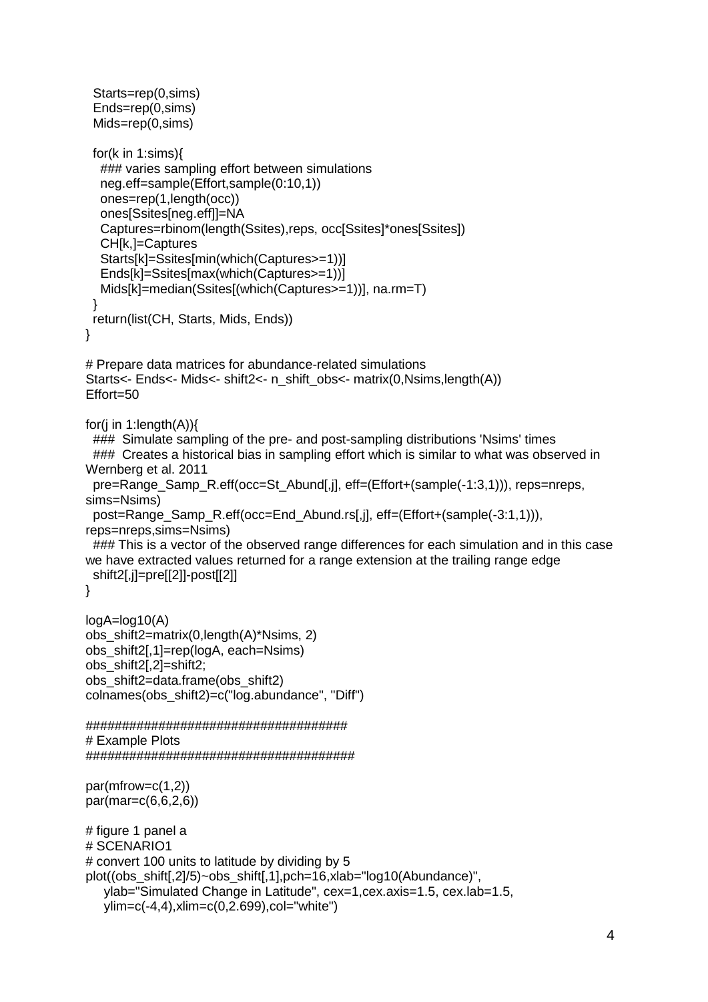```
 Starts=rep(0,sims)
  Ends=rep(0,sims)
  Mids=rep(0,sims)
  for(k in 1:sims){
   ### varies sampling effort between simulations
   neg.eff=sample(Effort,sample(0:10,1))
   ones=rep(1,length(occ))
   ones[Ssites[neg.eff]]=NA
   Captures=rbinom(length(Ssites),reps, occ[Ssites]*ones[Ssites])
   CH[k,]=Captures
   Starts[k]=Ssites[min(which(Captures>=1))]
   Ends[k]=Ssites[max(which(Captures>=1))]
   Mids[k]=median(Ssites[(which(Captures>=1))], na.rm=T)
  }
  return(list(CH, Starts, Mids, Ends))
}
# Prepare data matrices for abundance-related simulations
Starts<- Ends<- Mids<- shift2<- n_shift_obs<- matrix(0,Nsims,length(A))
Effort=50
for(i in 1:length(A)){
  ### Simulate sampling of the pre- and post-sampling distributions 'Nsims' times 
 ### Creates a historical bias in sampling effort which is similar to what was observed in
Wernberg et al. 2011
 pre=Range_Samp_R.eff(occ=St_Abund[,j], eff=(Effort+(sample(-1:3,1))), reps=nreps,
sims=Nsims) 
 post=Range_Samp_R.eff(occ=End_Abund.rs[,j], eff=(Effort+(sample(-3:1,1))),
reps=nreps,sims=Nsims) 
  ### This is a vector of the observed range differences for each simulation and in this case 
we have extracted values returned for a range extension at the trailing range edge
  shift2[,j]=pre[[2]]-post[[2]]
}
logA=log10(A)
obs_shift2=matrix(0,length(A)*Nsims, 2)
obs_shift2[,1]=rep(logA, each=Nsims)
obs_shift2[,2]=shift2; 
obs_shift2=data.frame(obs_shift2)
colnames(obs_shift2)=c("log.abundance", "Diff")
####################################
# Example Plots 
#####################################
par(mfrow=c(1,2))
par(mar=c(6,6,2,6))
# figure 1 panel a
# SCENARIO1
# convert 100 units to latitude by dividing by 5
plot((obs_shift[,2]/5)~obs_shift[,1],pch=16,xlab="log10(Abundance)", 
    ylab="Simulated Change in Latitude", cex=1,cex.axis=1.5, cex.lab=1.5, 
    ylim=c(-4,4),xlim=c(0,2.699),col="white")
```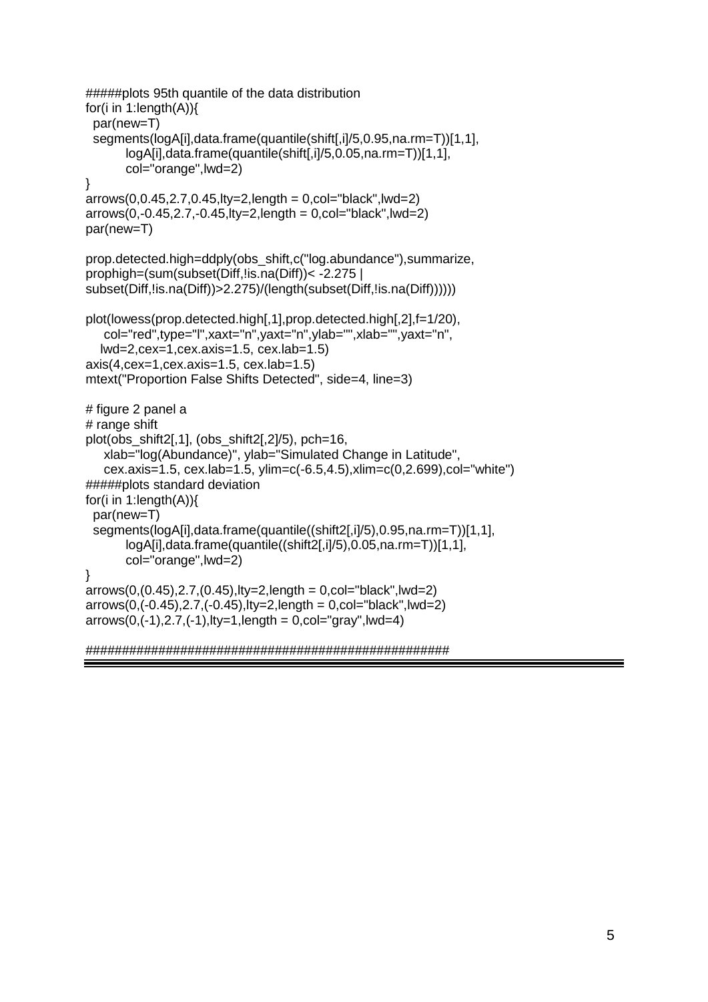```
#####plots 95th quantile of the data distribution
for(i in 1:length(A)){
  par(new=T)
  segments(logA[i],data.frame(quantile(shift[,i]/5,0.95,na.rm=T))[1,1],
        logA[i],data.frame(quantile(shift[,i]/5,0.05,na.rm=T))[1,1],
        col="orange",lwd=2)
}
arrows(0,0.45,2.7,0.45,1ty=2,length = 0,col="black",lwd=2)
arrows(0,-0.45,2.7,-0.45,lty=2,length = 0,col="black",lwd=2)
par(new=T)
prop.detected.high=ddply(obs_shift,c("log.abundance"),summarize,
prophigh=(sum(subset(Diff,!is.na(Diff))< -2.275 | 
subset(Diff, !is.na(Diff))>2.275)/(length(subset(Diff, !is.na(Diff))))))
plot(lowess(prop.detected.high[,1],prop.detected.high[,2],f=1/20),
    col="red",type="l",xaxt="n",yaxt="n",ylab="",xlab="",yaxt="n",
   lwd=2,cex=1,cex.axis=1.5, cex.lab=1.5)
axis(4.cex=1.cex.axis=1.5, cex.lab=1.5)mtext("Proportion False Shifts Detected", side=4, line=3)
# figure 2 panel a
# range shift
plot(obs shift2[,1], (obs shift2[,2]/5), pch=16,
    xlab="log(Abundance)", ylab="Simulated Change in Latitude",
    cex.axis=1.5, cex.lab=1.5, ylim=c(-6.5,4.5),xlim=c(0,2.699),col="white")
#####plots standard deviation
for(i in 1:length(A)){
  par(new=T)
  segments(logA[i],data.frame(quantile((shift2[,i]/5),0.95,na.rm=T))[1,1],
        logA[i],data.frame(quantile((shift2[,i]/5),0.05,na.rm=T))[1,1],
        col="orange",lwd=2)
}
arrows(0,(0.45),2.7,(0.45),lty=2,length = 0,col='black",lwd=2)arrows(0, (-0.45), 2.7, (-0.45),lty=2,length = 0,col="black",lwd=2)
arrows(0, (-1), 2.7, (-1),lty=1,length = 0,col="gray",lwd=4)
```

```
##################################################
```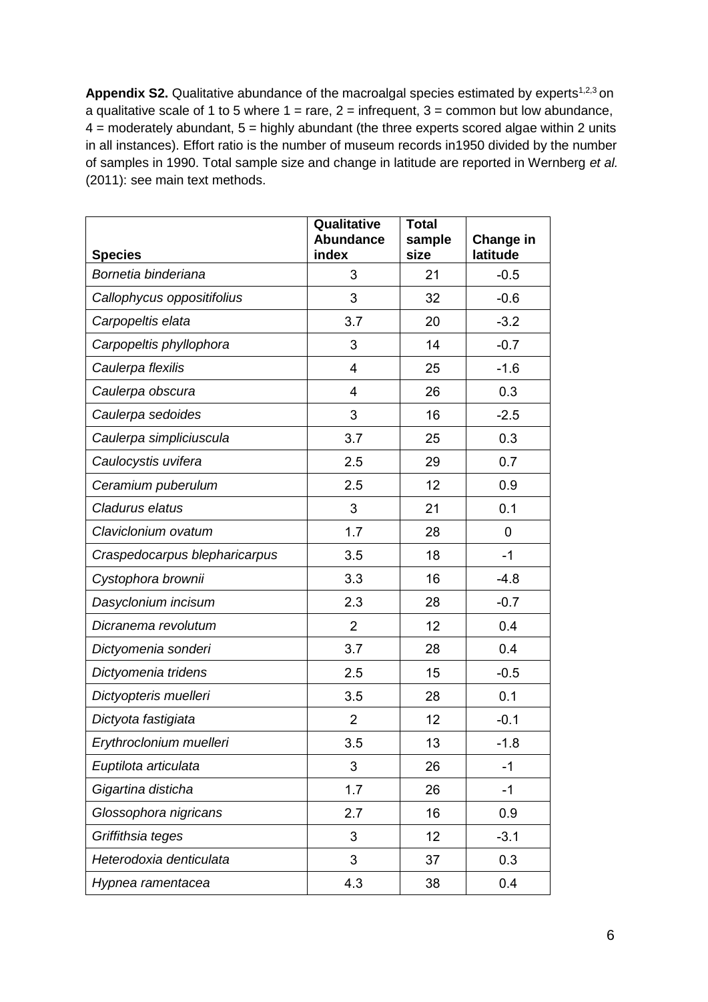Appendix S2. Qualitative abundance of the macroalgal species estimated by experts<sup>1,2,3</sup> on a qualitative scale of 1 to 5 where  $1 = \text{rare}$ ,  $2 = \text{infrequent}$ ,  $3 = \text{common}$  but low abundance,  $4$  = moderately abundant,  $5$  = highly abundant (the three experts scored algae within 2 units in all instances). Effort ratio is the number of museum records in1950 divided by the number of samples in 1990. Total sample size and change in latitude are reported in Wernberg *et al.* (2011): see main text methods.

| <b>Species</b>                | Qualitative<br><b>Abundance</b><br>index | <b>Total</b><br>sample<br>size | Change in<br>latitude |
|-------------------------------|------------------------------------------|--------------------------------|-----------------------|
| Bornetia binderiana           | 3                                        | 21                             | $-0.5$                |
| Callophycus oppositifolius    | 3                                        | 32                             | $-0.6$                |
| Carpopeltis elata             | 3.7                                      | 20                             | $-3.2$                |
| Carpopeltis phyllophora       | 3                                        | 14                             | $-0.7$                |
| Caulerpa flexilis             | 4                                        | 25                             | $-1.6$                |
| Caulerpa obscura              | 4                                        | 26                             | 0.3                   |
| Caulerpa sedoides             | 3                                        | 16                             | $-2.5$                |
| Caulerpa simpliciuscula       | 3.7                                      | 25                             | 0.3                   |
| Caulocystis uvifera           | 2.5                                      | 29                             | 0.7                   |
| Ceramium puberulum            | 2.5                                      | 12                             | 0.9                   |
| Cladurus elatus               | 3                                        | 21                             | 0.1                   |
| Claviclonium ovatum           | 1.7                                      | 28                             | 0                     |
| Craspedocarpus blepharicarpus | 3.5                                      | 18                             | $-1$                  |
| Cystophora brownii            | 3.3                                      | 16                             | $-4.8$                |
| Dasyclonium incisum           | 2.3                                      | 28                             | $-0.7$                |
| Dicranema revolutum           | $\overline{2}$                           | 12                             | 0.4                   |
| Dictyomenia sonderi           | 3.7                                      | 28                             | 0.4                   |
| Dictyomenia tridens           | 2.5                                      | 15                             | $-0.5$                |
| Dictyopteris muelleri         | 3.5                                      | 28                             | 0.1                   |
| Dictyota fastigiata           | $\overline{2}$                           | 12                             | $-0.1$                |
| Erythroclonium muelleri       | 3.5                                      | 13                             | $-1.8$                |
| Euptilota articulata          | 3                                        | 26                             | $-1$                  |
| Gigartina disticha            | 1.7                                      | 26                             | $-1$                  |
| Glossophora nigricans         | 2.7                                      | 16                             | 0.9                   |
| Griffithsia teges             | 3                                        | 12                             | $-3.1$                |
| Heterodoxia denticulata       | 3                                        | 37                             | 0.3                   |
| Hypnea ramentacea             | 4.3                                      | 38                             | 0.4                   |